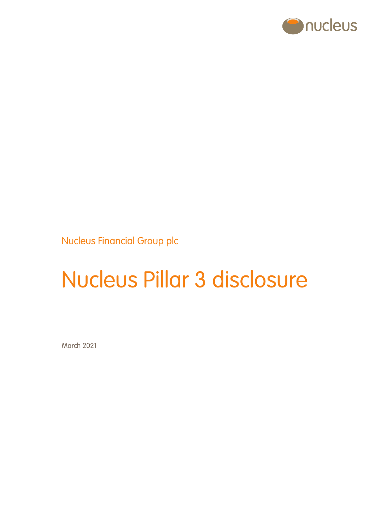

Nucleus Financial Group plc

# Nucleus Pillar 3 disclosure

March 2021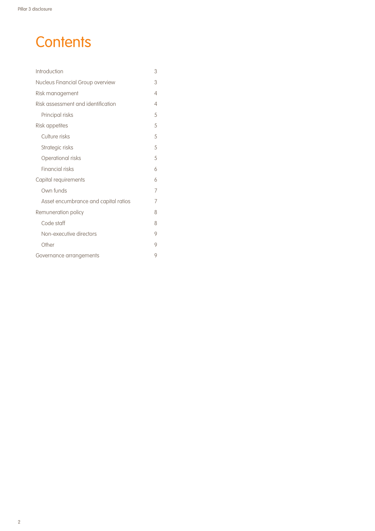# **Contents**

| Introduction                         | 3 |
|--------------------------------------|---|
| Nucleus Financial Group overview     | 3 |
| Risk management                      | 4 |
| Risk assessment and identification   | 4 |
| Principal risks                      | 5 |
| <b>Risk appetites</b>                | 5 |
| Culture risks                        | 5 |
| Strategic risks                      | 5 |
| Operational risks                    | 5 |
| <b>Financial risks</b>               | 6 |
| Capital requirements                 | 6 |
| Own funds                            | 7 |
| Asset encumbrance and capital ratios | 7 |
| Remuneration policy                  | 8 |
| Code staff                           | 8 |
| Non-executive directors              | 9 |
| Other                                | 9 |
| Governance arrangements              | 9 |
|                                      |   |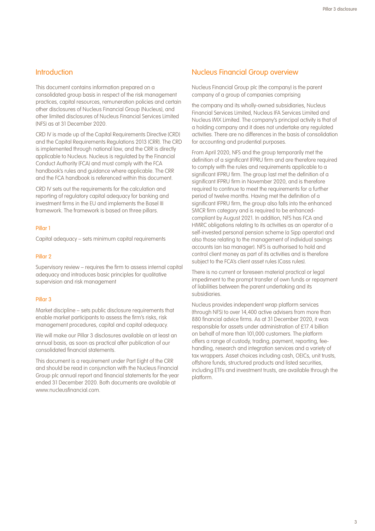# **Introduction**

This document contains information prepared on a consolidated group basis in respect of the risk management practices, capital resources, remuneration policies and certain other disclosures of Nucleus Financial Group (Nucleus), and other limited disclosures of Nucleus Financial Services Limited (NFS) as at 31 December 2020.

CRD IV is made up of the Capital Requirements Directive (CRD) and the Capital Requirements Regulations 2013 (CRR). The CRD is implemented through national law, and the CRR is directly applicable to Nucleus. Nucleus is regulated by the Financial Conduct Authority (FCA) and must comply with the FCA handbook's rules and guidance where applicable. The CRR and the FCA handbook is referenced within this document.

CRD IV sets out the requirements for the calculation and reporting of regulatory capital adequacy for banking and investment firms in the EU and implements the Basel III framework. The framework is based on three pillars.

#### Pillar 1

Capital adequacy – sets minimum capital requirements

#### Pillar 2

Supervisory review – requires the firm to assess internal capital adequacy and introduces basic principles for qualitative supervision and risk management

#### Pillar 3

Market discipline – sets public disclosure requirements that enable market participants to assess the firm's risks, risk management procedures, capital and capital adequacy.

We will make our Pillar 3 disclosures available on at least an annual basis, as soon as practical after publication of our consolidated financial statements.

This document is a requirement under Part Eight of the CRR and should be read in conjunction with the Nucleus Financial Group plc annual report and financial statements for the year ended 31 December 2020. Both documents are available at www.nucleusfinancial.com.

# Nucleus Financial Group overview

Nucleus Financial Group plc (the company) is the parent company of a group of companies comprising

the company and its wholly-owned subsidiaries, Nucleus Financial Services Limited, Nucleus IFA Services Limited and Nucleus IMX Limited. The company's principal activity is that of a holding company and it does not undertake any regulated activities. There are no differences in the basis of consolidation for accounting and prudential purposes.

From April 2020, NFS and the group temporarily met the definition of a significant IFPRU firm and are therefore required to comply with the rules and requirements applicable to a significant IFPRU firm. The group last met the definition of a significant IFPRU firm in November 2020, and is therefore required to continue to meet the requirements for a further period of twelve months. Having met the definition of a significant IFPRU firm, the group also falls into the enhanced SMCR firm category and is required to be enhancedcompliant by August 2021. In addition, NFS has FCA and HMRC obligations relating to its activities as an operator of a self-invested personal pension scheme (a Sipp operator) and also those relating to the management of individual savings accounts (an Isa manager). NFS is authorised to hold and control client money as part of its activities and is therefore subject to the FCA's client asset rules (Cass rules).

There is no current or foreseen material practical or legal impediment to the prompt transfer of own funds or repayment of liabilities between the parent undertaking and its subsidiaries.

Nucleus provides independent wrap platform services (through NFS) to over 14,400 active advisers from more than 880 financial advice firms. As at 31 December 2020, it was responsible for assets under administration of £17.4 billion on behalf of more than 101,000 customers. The platform offers a range of custody, trading, payment, reporting, feehandling, research and integration services and a variety of tax wrappers. Asset choices including cash, OEICs, unit trusts, offshore funds, structured products and listed securities, including ETFs and investment trusts, are available through the platform.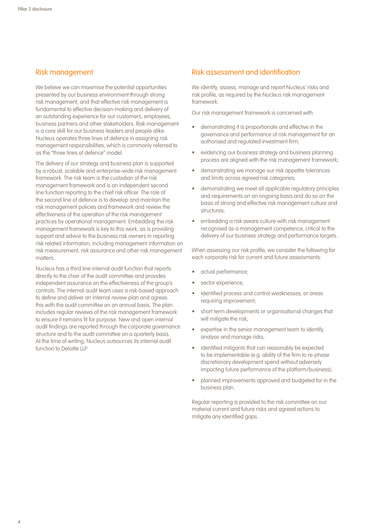# Risk management

We believe we can maximise the potential opportunities presented by our business environment through strong risk management, and that effective risk management is fundamental to effective decision-making and delivery of an outstanding experience for our customers, employees, business partners and other stakeholders. Risk management is a core skill for our business leaders and people alike. Nucleus operates three lines of defence in assigning risk management responsibilities, which is commonly referred to as the "three lines of defence" model.

The delivery of our strategy and business plan is supported by a robust, scalable and enterprise-wide risk management framework. The risk team is the custodian of the risk management framework and is an independent second line function reporting to the chief risk officer. The role of the second line of defence is to develop and maintain the risk management policies and framework and review the effectiveness of the operation of the risk management practices by operational management. Embedding the risk management framework is key to this work, as is providing support and advice to the business risk owners in reporting risk related information, including management information on risk measurement, risk assurance and other risk management matters.

Nucleus has a third line internal audit function that reports directly to the chair of the audit committee and provides independent assurance on the effectiveness of the group's controls. The internal audit team uses a risk-based approach to define and deliver an internal review plan and agrees this with the audit committee on an annual basis. The plan includes regular reviews of the risk management framework to ensure it remains fit for purpose. New and open internal audit findings are reported through the corporate governance structure and to the audit committee on a quarterly basis. At the time of writing, Nucleus outsources its internal audit function to Deloitte LLP.

# Risk assessment and identification

We identify, assess, manage and report Nucleus' risks and risk profile, as required by the Nucleus risk management framework.

Our risk management framework is concerned with:

- demonstrating it is proportionate and effective in the governance and performance of risk management for an authorised and regulated investment firm;
- evidencing our business strategy and business planning process are aligned with the risk management framework;
- demonstrating we manage our risk appetite tolerances and limits across agreed risk categories;
- demonstrating we meet all applicable regulatory principles and requirements on an ongoing basis and do so on the basis of strong and effective risk management culture and structures:
- embedding a risk aware culture with risk management recognised as a management competence, critical to the delivery of our business strategy and performance targets.

When assessing our risk profile, we consider the following for each corporate risk for current and future assessments:

- actual performance;
- sector experience;
- identified process and control weaknesses, or areas requiring improvement;
- short term developments or organisational changes that will mitigate the risk;
- expertise in the senior management team to identify, analyse and manage risks;
- identified mitigants that can reasonably be expected to be implementable (e.g. ability of the firm to re-phase discretionary development spend without adversely impacting future performance of the platform/business);
- planned improvements approved and budgeted for in the business plan.

Regular reporting is provided to the risk committee on our material current and future risks and agreed actions to mitigate any identified gaps.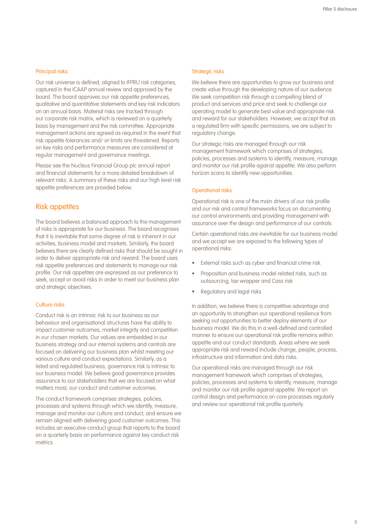#### Principal risks

Our risk universe is defined, aligned to IFPRU risk categories, captured in the ICAAP annual review and approved by the board. The board approves our risk appetite preferences, qualitative and quantitative statements and key risk indicators on an annual basis. Material risks are tracked through our corporate risk matrix, which is reviewed on a quarterly basis by management and the risk committee. Appropriate management actions are agreed as required in the event that risk appetite tolerances and/ or limits are threatened. Reports on key risks and performance measures are considered at regular management and governance meetings.

Please see the Nucleus Financial Group plc annual report and financial statements for a more detailed breakdown of relevant risks. A summary of these risks and our high level risk appetite preferences are provided below.

## Risk appetites

The board believes a balanced approach to the management of risks is appropriate for our business. The board recognises that it is inevitable that some degree of risk is inherent in our activities, business model and markets. Similarly, the board believes there are clearly defined risks that should be sought in order to deliver appropriate risk and reward. The board uses risk appetite preferences and statements to manage our risk profile. Our risk appetites are expressed as our preference to seek, accept or avoid risks in order to meet our business plan and strategic objectives.

#### Culture risks

Conduct risk is an intrinsic risk to our business as our behaviour and organisational structures have the ability to impact customer outcomes, market integrity and competition in our chosen markets. Our values are embedded in our business strategy and our internal systems and controls are focused on delivering our business plan whilst meeting our various culture and conduct expectations. Similarly, as a listed and regulated business, governance risk is intrinsic to our business model. We believe good governance provides assurance to our stakeholders that we are focused on what matters most, our conduct and customer outcomes.

The conduct framework comprises strategies, policies, processes and systems through which we identify, measure, manage and monitor our culture and conduct, and ensure we remain aligned with delivering good customer outcomes. This includes an executive conduct group that reports to the board on a quarterly basis on performance against key conduct risk metrics.

#### Strategic risks

We believe there are opportunities to grow our business and create value through the developing nature of our audience. We seek competition risk through a compelling blend of product and services and price and seek to challenge our operating model to generate best value and appropriate risk and reward for our stakeholders. However, we accept that as a regulated firm with specific permissions, we are subject to regulatory change.

Our strategic risks are managed through our risk management framework which comprises of strategies, policies, processes and systems to identify, measure, manage and monitor our risk profile against appetite. We also perform horizon scans to identify new opportunities.

#### Operational risks

Operational risk is one of the main drivers of our risk profile and our risk and control frameworks focus on documenting our control environments and providing management with assurance over the design and performance of our controls.

Certain operational risks are inevitable for our business model and we accept we are exposed to the following types of operational risks:

- External risks such as cyber and financial crime risk
- Proposition and business model related risks, such as outsourcing, tax wrapper and Cass risk
- Regulatory and legal risks

In addition, we believe there is competitive advantage and an opportunity to strengthen our operational resilience from seeking out opportunities to better deploy elements of our business model. We do this in a well-defined and controlled manner to ensure our operational risk profile remains within appetite and our conduct standards. Areas where we seek appropriate risk and reward include change, people, process, infrastructure and information and data risks.

Our operational risks are managed through our risk management framework which comprises of strategies, policies, processes and systems to identify, measure, manage and monitor our risk profile against appetite. We report on control design and performance on core processes regularly and review our operational risk profile quarterly.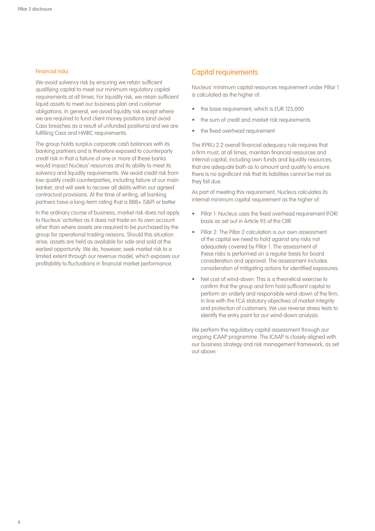#### Financial risks

We avoid solvency risk by ensuring we retain sufficient qualifying capital to meet our minimum regulatory capital requirements at all times. For liquidity risk, we retain sufficient liquid assets to meet our business plan and customer obligations. In general, we avoid liquidity risk except where we are required to fund client money positions (and avoid Cass breaches as a result of unfunded positions) and we are fulfilling Cass and HMRC requirements.

The group holds surplus corporate cash balances with its banking partners and is therefore exposed to counterparty credit risk in that a failure of one or more of these banks would impact Nucleus' resources and its ability to meet its solvency and liquidity requirements. We avoid credit risk from low quality credit counterparties, including failure of our main banker, and will seek to recover all debts within our agreed contractual provisions. At the time of writing, all banking partners have a long-term rating that is BBB+ (S&P) or better.

In the ordinary course of business, market risk does not apply to Nucleus' activities as it does not trade on its own account other than where assets are required to be purchased by the group for operational trading reasons. Should this situation arise, assets are held as available for sale and sold at the earliest opportunity. We do, however, seek market risk to a limited extent through our revenue model, which exposes our profitability to fluctuations in financial market performance.

# Capital requirements

Nucleus' minimum capital resources requirement under Pillar 1 is calculated as the higher of:

- the base requirement, which is EUR 125,000
- the sum of credit and market risk requirements
- the fixed overhead requirement

The IFPRU 2.2 overall financial adequacy rule requires that a firm must, at all times, maintain financial resources and internal capital, including own funds and liquidity resources, that are adequate both as to amount and quality to ensure there is no significant risk that its liabilities cannot be met as they fall due.

As part of meeting this requirement, Nucleus calculates its internal minimum capital requirement as the higher of:

- Pillar 1: Nucleus uses the fixed overhead requirement (FOR) basis as set out in Article 95 of the CRR
- Pillar 2: The Pillar 2 calculation is our own assessment of the capital we need to hold against any risks not adequately covered by Pillar 1. The assessment of these risks is performed on a regular basis for board consideration and approval. The assessment includes consideration of mitigating actions for identified exposures.
- Net cost of wind-down: This is a theoretical exercise to confirm that the group and firm hold sufficient capital to perform an orderly and responsible wind-down of the firm, in line with the FCA statutory objectives of market integrity and protection of customers. We use reverse stress tests to identify the entry point for our wind-down analysis.

We perform the regulatory capital assessment through our ongoing ICAAP programme. The ICAAP is closely aligned with our business strategy and risk management framework, as set out above.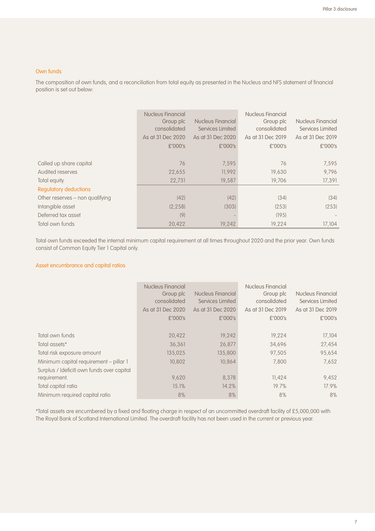#### Own funds

The composition of own funds, and a reconciliation from total equity as presented in the Nucleus and NFS statement of financial position is set out below:

|                                 | <b>Nucleus Financial</b><br>Group plc<br>consolidated<br>As at 31 Dec 2020<br>£'000's | Nucleus Financial<br>Services Limited<br>As at 31 Dec 2020<br>£'000's | Nucleus Financial<br>Group plc<br>consolidated<br>As at 31 Dec 2019<br>£'000's | Nucleus Financial<br>Services Limited<br>As at 31 Dec 2019<br>£'000's |
|---------------------------------|---------------------------------------------------------------------------------------|-----------------------------------------------------------------------|--------------------------------------------------------------------------------|-----------------------------------------------------------------------|
| Called up share capital         | 76                                                                                    | 7,595                                                                 | 76                                                                             | 7,595                                                                 |
| Audited reserves                | 22,655                                                                                | 11.992                                                                | 19,630                                                                         | 9.796                                                                 |
| Total equity                    | 22,731                                                                                | 19,587                                                                | 19,706                                                                         | 17,391                                                                |
| Regulatory deductions           |                                                                                       |                                                                       |                                                                                |                                                                       |
| Other reserves – non qualifying | (42)                                                                                  | (42)                                                                  | (34)                                                                           | (34)                                                                  |
| Intangible asset                | (2, 258)                                                                              | (303)                                                                 | (253)                                                                          | (253)                                                                 |
| Deferred tax asset              | (9)                                                                                   |                                                                       | (195)                                                                          |                                                                       |
| Total own funds                 | 20,422                                                                                | 19,242                                                                | 19,224                                                                         | 17.104                                                                |

Total own funds exceeded the internal minimum capital requirement at all times throughout 2020 and the prior year. Own funds consist of Common Equity Tier 1 Capital only.

# Asset encumbrance and capital ratios

|                                            | <b>Nucleus Financial</b><br>Group plc<br>consolidated<br>As at 31 Dec 2020<br>£'000's | Nucleus Financial<br>Services Limited<br>As at 31 Dec 2020<br>£'000's | Nucleus Financial<br>Group plc<br>consolidated<br>As at 31 Dec 2019<br>£'000's | Nucleus Financial<br>Services Limited<br>As at 31 Dec 2019<br>£'000's |
|--------------------------------------------|---------------------------------------------------------------------------------------|-----------------------------------------------------------------------|--------------------------------------------------------------------------------|-----------------------------------------------------------------------|
| Total own funds                            | 20,422                                                                                | 19,242                                                                | 19,224                                                                         | 17,104                                                                |
| Total assets*                              | 36,361                                                                                | 26,877                                                                | 34,696                                                                         | 27,454                                                                |
| Total risk exposure amount                 | 135,025                                                                               | 135,800                                                               | 97,505                                                                         | 95,654                                                                |
| Minimum capital requirement - pillar 1     | 10,802                                                                                | 10.864                                                                | 7,800                                                                          | 7,652                                                                 |
| Surplus / (deficit) own funds over capital |                                                                                       |                                                                       |                                                                                |                                                                       |
| requirement.                               | 9.620                                                                                 | 8,378                                                                 | 11,424                                                                         | 9,452                                                                 |
| Total capital ratio                        | 15.1%                                                                                 | 14.2%                                                                 | 19.7%                                                                          | 17.9%                                                                 |
| Minimum required capital ratio             | 8%                                                                                    | 8%                                                                    | 8%                                                                             | 8%                                                                    |

\*Total assets are encumbered by a fixed and floating charge in respect of an uncommitted overdraft facility of £5,000,000 with The Royal Bank of Scotland International Limited. The overdraft facility has not been used in the current or previous year.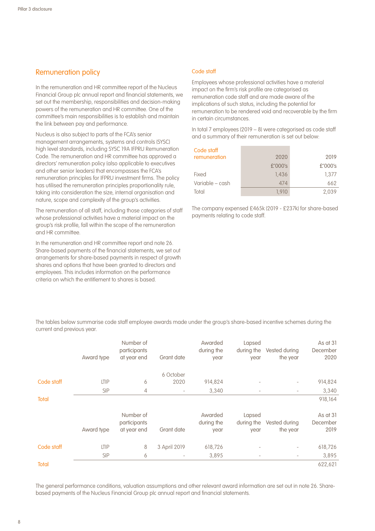# Remuneration policy

In the remuneration and HR committee report of the Nucleus Financial Group plc annual report and financial statements, we set out the membership, responsibilities and decision-making powers of the remuneration and HR committee. One of the committee's main responsibilities is to establish and maintain the link between pay and performance.

Nucleus is also subject to parts of the FCA's senior management arrangements, systems and controls (SYSC) high level standards, including SYSC 19A IFPRU Remuneration Code. The remuneration and HR committee has approved a directors' remuneration policy (also applicable to executives and other senior leaders) that encompasses the FCA's remuneration principles for IFPRU investment firms. The policy has utilised the remuneration principles proportionality rule, taking into consideration the size, internal organisation and nature, scope and complexity of the group's activities.

The remuneration of all staff, including those categories of staff whose professional activities have a material impact on the group's risk profile, fall within the scope of the remuneration and HR committee.

In the remuneration and HR committee report and note 26. Share-based payments of the financial statements, we set out arrangements for share-based payments in respect of growth shares and options that have been granted to directors and employees. This includes information on the performance criteria on which the entitlement to shares is based.

#### Code staff

Employees whose professional activities have a material impact on the firm's risk profile are categorised as remuneration code staff and are made aware of the implications of such status, including the potential for remuneration to be rendered void and recoverable by the firm in certain circumstances.

In total 7 employees (2019 – 8) were categorised as code staff and a summary of their remuneration is set out below:

| Code staff      |         |         |
|-----------------|---------|---------|
| remuneration    | 2020    | 2019    |
|                 | £'000's | £'000's |
| Fixed           | 1.436   | 1.377   |
| Variable – cash | 474     | 662     |
| Total           | 1.910   | 2.039   |

The company expensed £465k (2019 - £237k) for share-based payments relating to code staff.

The tables below summarise code staff employee awards made under the group's share-based incentive schemes during the current and previous year.

|              | Award type  | Number of<br>participants<br>at year end | Grant date               | Awarded<br>during the<br>year | Lapsed<br>during the<br>year | Vested during<br>the year | As at 31<br>December<br>2020 |
|--------------|-------------|------------------------------------------|--------------------------|-------------------------------|------------------------------|---------------------------|------------------------------|
|              |             |                                          | 6 October                |                               |                              |                           |                              |
| Code staff   | <b>LTIP</b> | 6                                        | 2020                     | 914,824                       |                              |                           | 914,824                      |
|              | <b>SIP</b>  | $\overline{4}$                           | $\overline{\phantom{a}}$ | 3,340                         | $\overline{\phantom{a}}$     |                           | 3,340                        |
| <b>Total</b> |             |                                          |                          |                               |                              |                           | 918,164                      |
|              | Award type  | Number of<br>participants<br>at year end | Grant date               | Awarded<br>during the<br>year | Lapsed<br>during the<br>year | Vested during<br>the year | As at 31<br>December<br>2019 |
| Code staff   | <b>LTIP</b> | 8                                        | 3 April 2019             | 618,726                       |                              |                           | 618,726                      |
|              | <b>SIP</b>  | 6                                        | $\overline{\phantom{a}}$ | 3,895                         | $\overline{\phantom{a}}$     |                           | 3,895                        |
| <b>Total</b> |             |                                          |                          |                               |                              |                           | 622,621                      |

The general performance conditions, valuation assumptions and other relevant award information are set out in note 26. Sharebased payments of the Nucleus Financial Group plc annual report and financial statements.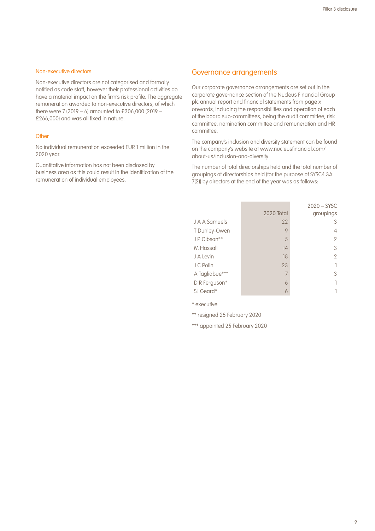#### Non-executive directors

Non-executive directors are not categorised and formally notified as code staff, however their professional activities do have a material impact on the firm's risk profile. The aggregate remuneration awarded to non-executive directors, of which there were 7 (2019 – 6) amounted to £306,000 (2019 – £266,000) and was all fixed in nature.

#### **Other**

No individual remuneration exceeded EUR 1 million in the 2020 year.

Quantitative information has not been disclosed by business area as this could result in the identification of the remuneration of individual employees.

## Governance arrangements

Our corporate governance arrangements are set out in the corporate governance section of the Nucleus Financial Group plc annual report and financial statements from page x onwards, including the responsibilities and operation of each of the board sub-committees, being the audit committee, risk committee, nomination committee and remuneration and HR committee.

The company's inclusion and diversity statement can be found on the company's website at www.nucleusfinancial.com/ about-us/inclusion-and-diversity

The number of total directorships held and the total number of groupings of directorships held (for the purpose of SYSC4.3A 7(2)) by directors at the end of the year was as follows:

|                |            | $2020 - SYSC$ |
|----------------|------------|---------------|
|                | 2020 Total | groupings     |
| J A A Samuels  | 22         |               |
| T Dunley-Owen  | 9          | 4             |
| JP Gibson**    | 5          | 2             |
| M Hassall      | 14         | 3             |
| J A Levin      | 18         | 2             |
| J C Polin      | 23         |               |
| A Tagliabue*** |            | 3             |
| D R Ferguson*  | 6          |               |
| SJ Geard*      | 6          |               |

\* executive

\*\* resigned 25 February 2020

\*\*\* appointed 25 February 2020